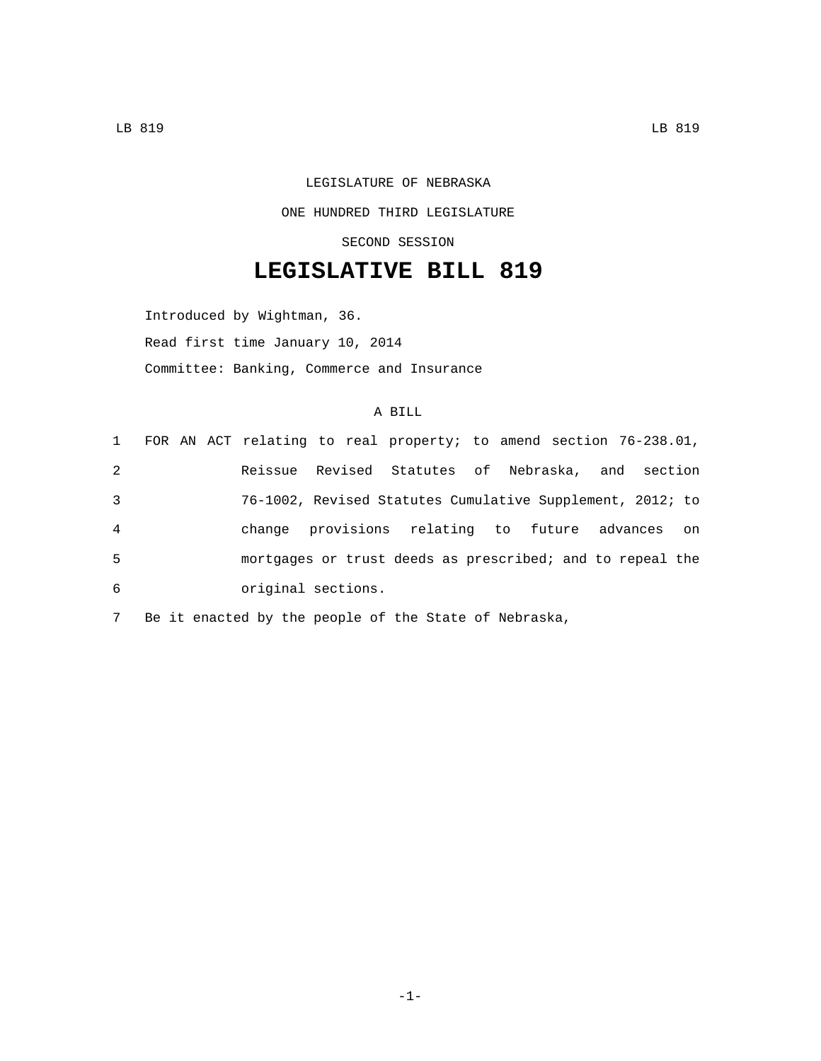## LEGISLATURE OF NEBRASKA ONE HUNDRED THIRD LEGISLATURE SECOND SESSION

## **LEGISLATIVE BILL 819**

Introduced by Wightman, 36. Read first time January 10, 2014 Committee: Banking, Commerce and Insurance

## A BILL

|   |  | 1 FOR AN ACT relating to real property; to amend section 76-238.01, |  |  |  |  |    |
|---|--|---------------------------------------------------------------------|--|--|--|--|----|
| 2 |  | Reissue Revised Statutes of Nebraska, and section                   |  |  |  |  |    |
| 3 |  | 76-1002, Revised Statutes Cumulative Supplement, 2012; to           |  |  |  |  |    |
| 4 |  | change provisions relating to future advances                       |  |  |  |  | on |
| 5 |  | mortgages or trust deeds as prescribed; and to repeal the           |  |  |  |  |    |
| 6 |  | original sections.                                                  |  |  |  |  |    |

7 Be it enacted by the people of the State of Nebraska,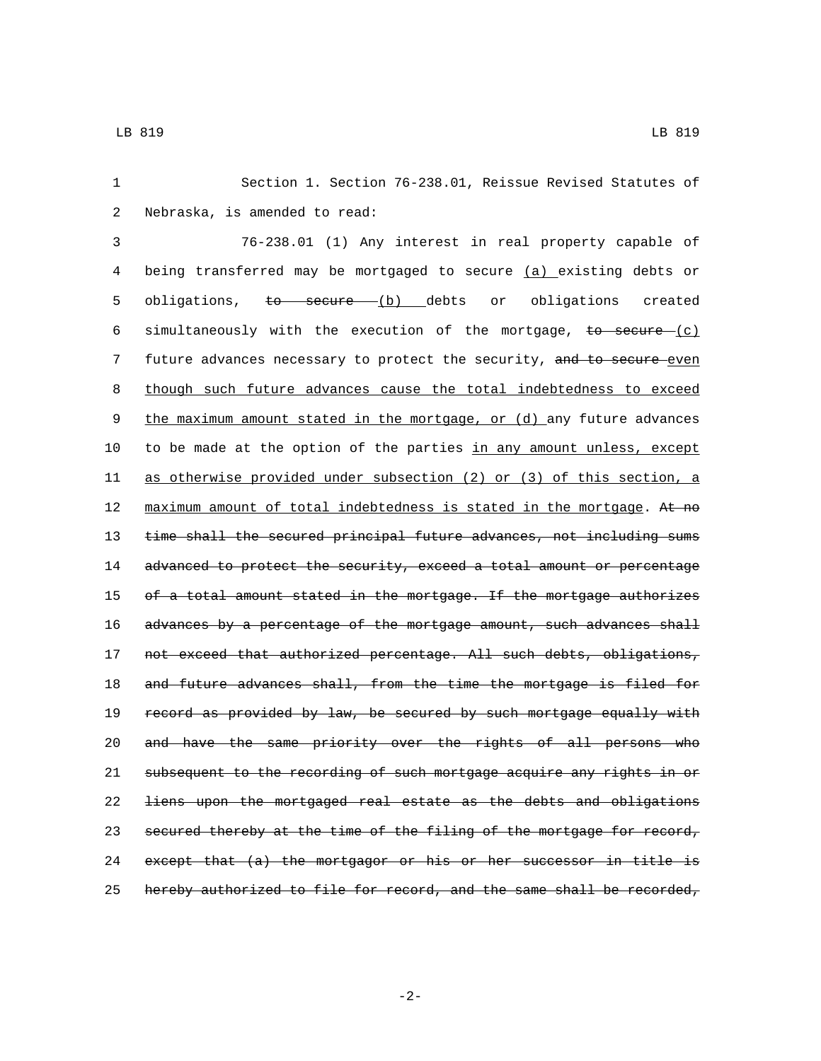1 Section 1. Section 76-238.01, Reissue Revised Statutes of 2 Nebraska, is amended to read:

3 76-238.01 (1) Any interest in real property capable of 4 being transferred may be mortgaged to secure (a) existing debts or 5 obligations, to secure (b) debts or obligations created 6 simultaneously with the execution of the mortgage, to secure  $(c)$ 7 future advances necessary to protect the security, and to secure-even 8 though such future advances cause the total indebtedness to exceed 9 the maximum amount stated in the mortgage, or (d) any future advances 10 to be made at the option of the parties in any amount unless, except 11 as otherwise provided under subsection (2) or (3) of this section, a 12 maximum amount of total indebtedness is stated in the mortgage. At no 13 time shall the secured principal future advances, not including sums 14 advanced to protect the security, exceed a total amount or percentage 15 of a total amount stated in the mortgage. If the mortgage authorizes 16 advances by a percentage of the mortgage amount, such advances shall 17 not exceed that authorized percentage. All such debts, obligations, 18 and future advances shall, from the time the mortgage is filed for 19 record as provided by law, be secured by such mortgage equally with 20 and have the same priority over the rights of all persons who 21 subsequent to the recording of such mortgage acquire any rights in or 22 liens upon the mortgaged real estate as the debts and obligations 23 secured thereby at the time of the filing of the mortgage for record, 24 except that (a) the mortgagor or his or her successor in title is 25 hereby authorized to file for record, and the same shall be recorded,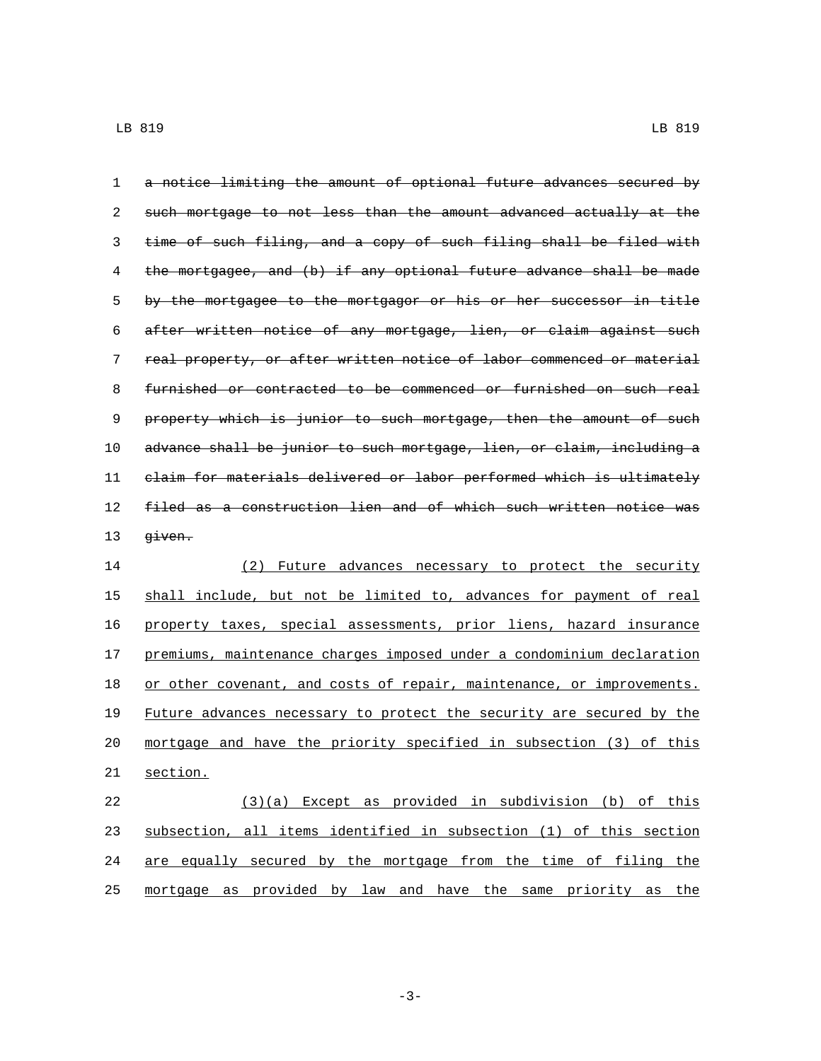| 1  | a notice limiting the amount of optional future advances secured by   |
|----|-----------------------------------------------------------------------|
| 2  | such mortgage to not less than the amount advanced actually at the    |
| 3  | time of such filing, and a copy of such filing shall be filed with    |
| 4  | the mortgagee, and (b) if any optional future advance shall be made   |
| 5  | by the mortgagee to the mortgagor or his or her successor in title    |
| 6  | after written notice of any mortgage, lien, or claim against such     |
| 7  | real property, or after written notice of labor commenced or material |
| 8  | furnished or contracted to be commenced or furnished on such real     |
| 9  | property which is junior to such mortgage, then the amount of such    |
| 10 | advance shall be junior to such mortgage, lien, or claim, including a |
| 11 | claim for materials delivered or labor performed which is ultimately  |
| 12 | filed as a construction lien and of which such written notice was     |
| 13 | <del>qiven.</del>                                                     |
| 14 | Future advances necessary to protect the security<br>(2)              |
| 15 | shall include, but not be limited to, advances for payment of real    |
| 16 | property taxes, special assessments, prior liens, hazard insurance    |
| 17 | premiums, maintenance charges imposed under a condominium declaration |
| 18 | or other covenant, and costs of repair, maintenance, or improvements. |
| 19 | Future advances necessary to protect the security are secured by the  |
| 20 | mortgage and have the priority specified in subsection (3) of this    |

21 section.

 (3)(a) Except as provided in subdivision (b) of this subsection, all items identified in subsection (1) of this section are equally secured by the mortgage from the time of filing the mortgage as provided by law and have the same priority as the

-3-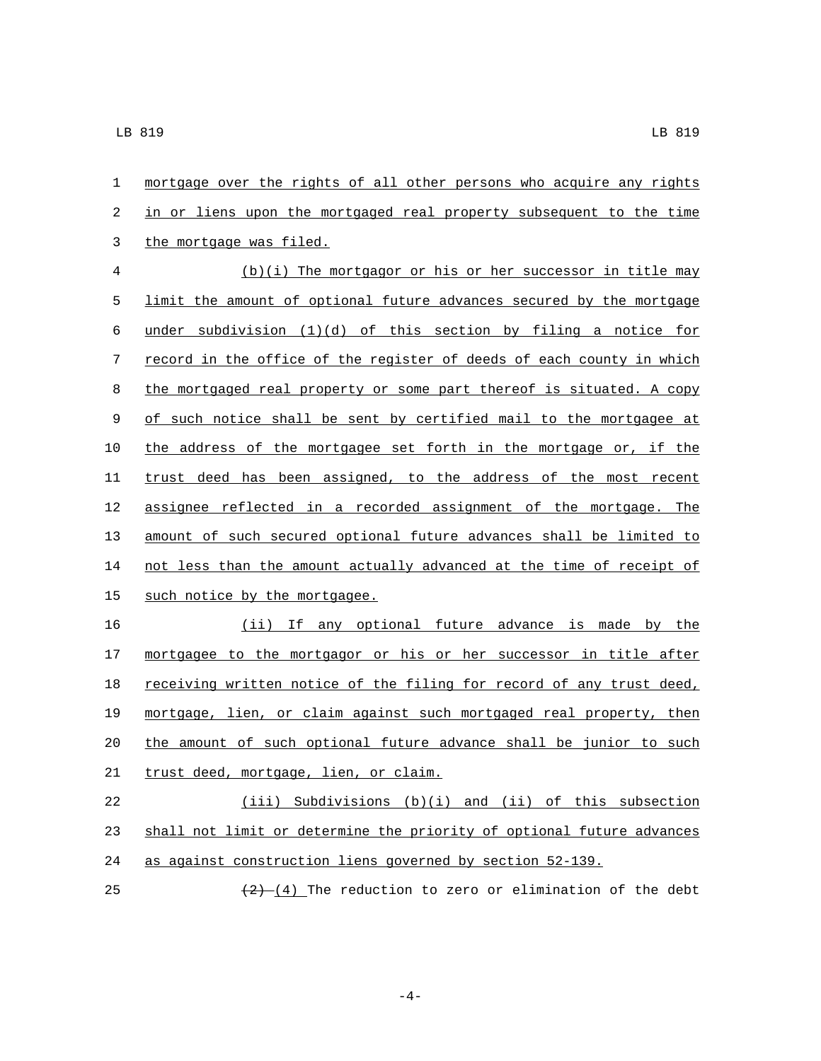1 mortgage over the rights of all other persons who acquire any rights 2 in or liens upon the mortgaged real property subsequent to the time 3 the mortgage was filed.

 (b)(i) The mortgagor or his or her successor in title may limit the amount of optional future advances secured by the mortgage 6 under subdivision  $(1)(d)$  of this section by filing a notice for record in the office of the register of deeds of each county in which the mortgaged real property or some part thereof is situated. A copy 9 of such notice shall be sent by certified mail to the mortgagee at the address of the mortgagee set forth in the mortgage or, if the trust deed has been assigned, to the address of the most recent assignee reflected in a recorded assignment of the mortgage. The amount of such secured optional future advances shall be limited to not less than the amount actually advanced at the time of receipt of 15 such notice by the mortgagee.

16 (ii) If any optional future advance is made by the 17 mortgagee to the mortgagor or his or her successor in title after 18 receiving written notice of the filing for record of any trust deed, 19 mortgage, lien, or claim against such mortgaged real property, then 20 the amount of such optional future advance shall be junior to such 21 trust deed, mortgage, lien, or claim.

22 (iii) Subdivisions (b)(i) and (ii) of this subsection 23 shall not limit or determine the priority of optional future advances 24 as against construction liens governed by section 52-139.

25  $\left(\frac{2}{2}\right)$  (4) The reduction to zero or elimination of the debt

-4-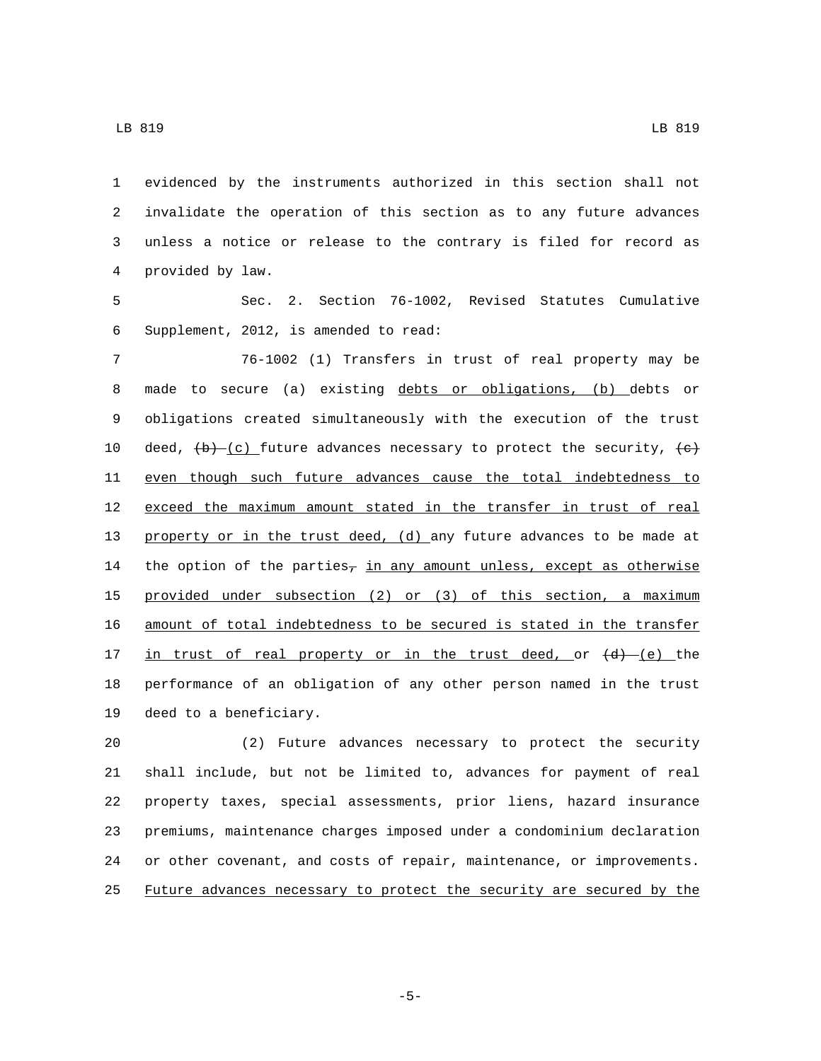evidenced by the instruments authorized in this section shall not invalidate the operation of this section as to any future advances unless a notice or release to the contrary is filed for record as provided by law.4

 Sec. 2. Section 76-1002, Revised Statutes Cumulative 6 Supplement, 2012, is amended to read:

 76-1002 (1) Transfers in trust of real property may be made to secure (a) existing debts or obligations, (b) debts or obligations created simultaneously with the execution of the trust 10 deed,  $(b)$  (c) future advances necessary to protect the security,  $(e)$  even though such future advances cause the total indebtedness to 12 exceed the maximum amount stated in the transfer in trust of real 13 property or in the trust deed, (d) any future advances to be made at 14 the option of the parties<sub>7</sub> in any amount unless, except as otherwise provided under subsection (2) or (3) of this section, a maximum amount of total indebtedness to be secured is stated in the transfer 17 in trust of real property or in the trust deed, or  $\{d\}$  (e) the performance of an obligation of any other person named in the trust 19 deed to a beneficiary.

 (2) Future advances necessary to protect the security shall include, but not be limited to, advances for payment of real property taxes, special assessments, prior liens, hazard insurance premiums, maintenance charges imposed under a condominium declaration or other covenant, and costs of repair, maintenance, or improvements. Future advances necessary to protect the security are secured by the

-5-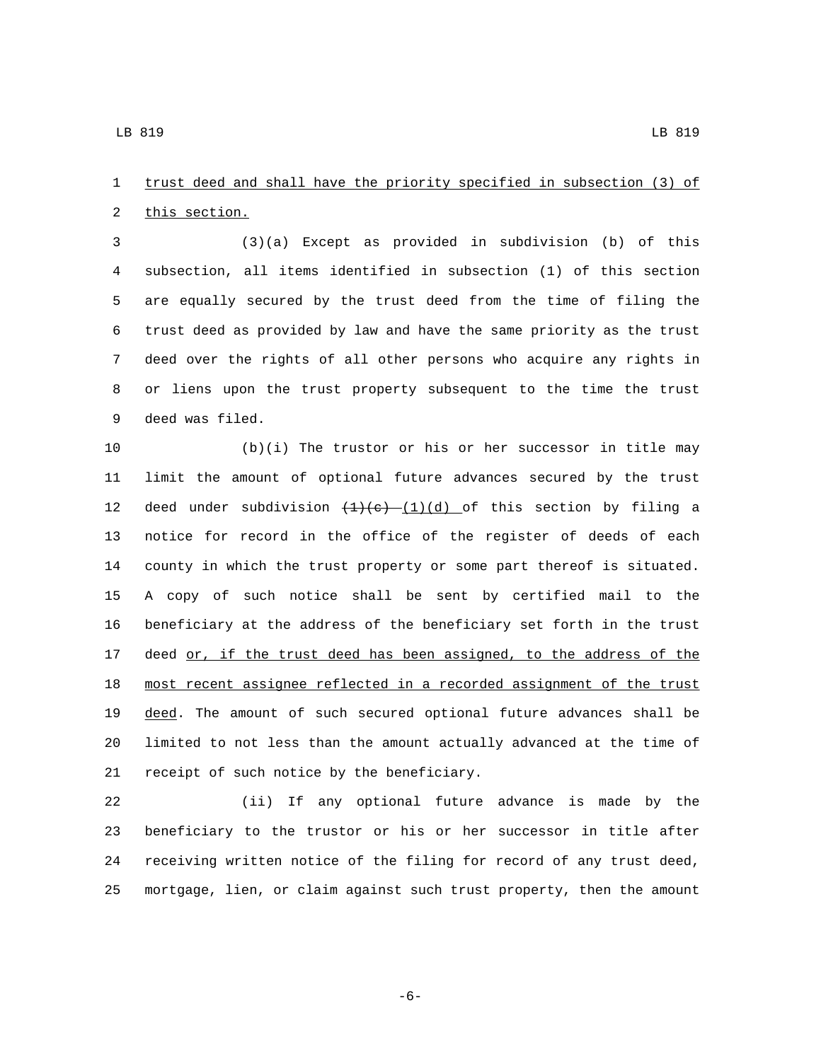trust deed and shall have the priority specified in subsection (3) of 2 this section.

 (3)(a) Except as provided in subdivision (b) of this subsection, all items identified in subsection (1) of this section are equally secured by the trust deed from the time of filing the trust deed as provided by law and have the same priority as the trust deed over the rights of all other persons who acquire any rights in or liens upon the trust property subsequent to the time the trust 9 deed was filed.

 (b)(i) The trustor or his or her successor in title may limit the amount of optional future advances secured by the trust 12 deed under subdivision  $(1)(e)$   $(1)(d)$  of this section by filing a notice for record in the office of the register of deeds of each county in which the trust property or some part thereof is situated. A copy of such notice shall be sent by certified mail to the beneficiary at the address of the beneficiary set forth in the trust 17 deed or, if the trust deed has been assigned, to the address of the most recent assignee reflected in a recorded assignment of the trust 19 deed. The amount of such secured optional future advances shall be limited to not less than the amount actually advanced at the time of 21 receipt of such notice by the beneficiary.

 (ii) If any optional future advance is made by the beneficiary to the trustor or his or her successor in title after receiving written notice of the filing for record of any trust deed, mortgage, lien, or claim against such trust property, then the amount

$$
-6\,-
$$